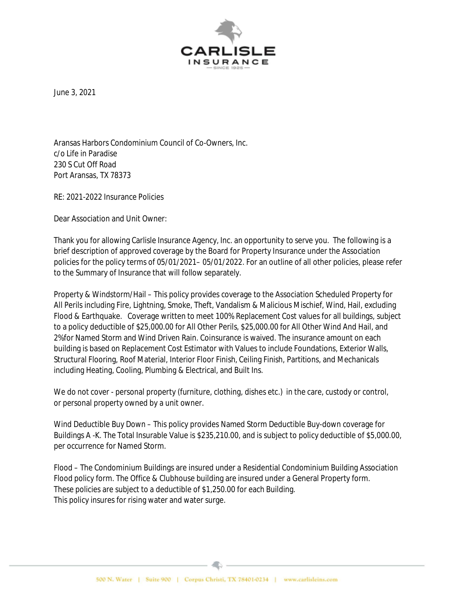

June 3, 2021

Aransas Harbors Condominium Council of Co-Owners, Inc. c/o Life in Paradise 230 S Cut Off Road Port Aransas, TX 78373

RE: 2021-2022 Insurance Policies

Dear Association and Unit Owner:

Thank you for allowing Carlisle Insurance Agency, Inc. an opportunity to serve you. The following is a brief description of approved coverage by the Board for Property Insurance under the Association policies for the policy terms of 05/01/2021– 05/01/2022. For an outline of all other policies, please refer to the Summary of Insurance that will follow separately.

Property & Windstorm/Hail – This policy provides coverage to the Association Scheduled Property for All Perils including Fire, Lightning, Smoke, Theft, Vandalism & Malicious Mischief, Wind, Hail, excluding Flood & Earthquake. Coverage written to meet 100% Replacement Cost values for all buildings, subject to a policy deductible of \$25,000.00 for All Other Perils, \$25,000.00 for All Other Wind And Hail, and 2%for Named Storm and Wind Driven Rain. Coinsurance is waived. The insurance amount on each building is based on Replacement Cost Estimator with Values to include Foundations, Exterior Walls, Structural Flooring, Roof Material, Interior Floor Finish, Ceiling Finish, Partitions, and Mechanicals including Heating, Cooling, Plumbing & Electrical, and Built Ins.

We do not cover - personal property (furniture, clothing, dishes etc.) in the care, custody or control, or personal property owned by a unit owner.

Wind Deductible Buy Down – This policy provides Named Storm Deductible Buy-down coverage for Buildings A -K. The Total Insurable Value is \$235,210.00, and is subject to policy deductible of \$5,000.00, per occurrence for Named Storm.

Flood – The Condominium Buildings are insured under a Residential Condominium Building Association Flood policy form. The Office & Clubhouse building are insured under a General Property form. These policies are subject to a deductible of \$1,250.00 for each Building. This policy insures for rising water and water surge.